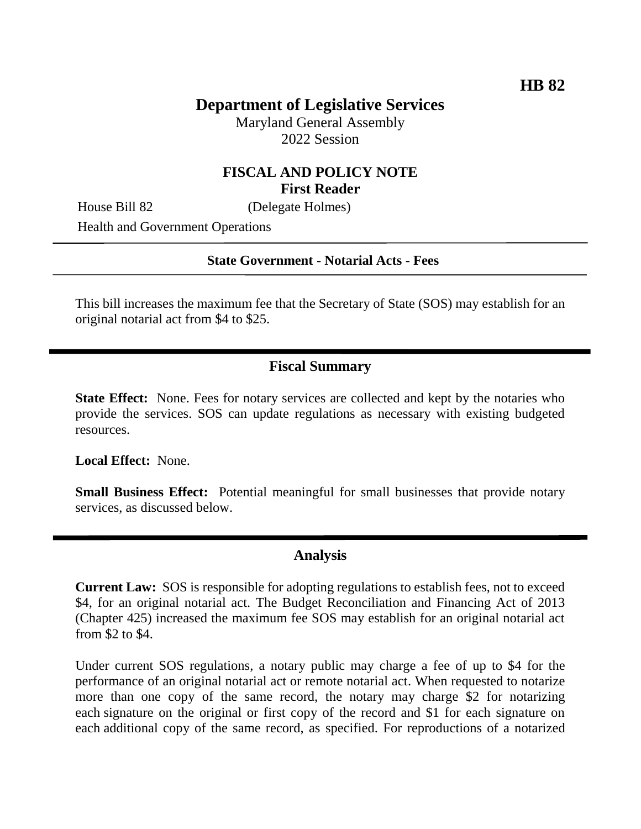# **Department of Legislative Services**

Maryland General Assembly 2022 Session

## **FISCAL AND POLICY NOTE First Reader**

House Bill 82 (Delegate Holmes)

Health and Government Operations

### **State Government - Notarial Acts - Fees**

This bill increases the maximum fee that the Secretary of State (SOS) may establish for an original notarial act from \$4 to \$25.

### **Fiscal Summary**

**State Effect:** None. Fees for notary services are collected and kept by the notaries who provide the services. SOS can update regulations as necessary with existing budgeted resources.

**Local Effect:** None.

**Small Business Effect:** Potential meaningful for small businesses that provide notary services, as discussed below.

### **Analysis**

**Current Law:** SOS is responsible for adopting regulations to establish fees, not to exceed \$4, for an original notarial act. The Budget Reconciliation and Financing Act of 2013 (Chapter 425) increased the maximum fee SOS may establish for an original notarial act from \$2 to \$4.

Under current SOS regulations, a notary public may charge a fee of up to \$4 for the performance of an original notarial act or remote notarial act. When requested to notarize more than one copy of the same record, the notary may charge \$2 for notarizing each signature on the original or first copy of the record and \$1 for each signature on each additional copy of the same record, as specified. For reproductions of a notarized